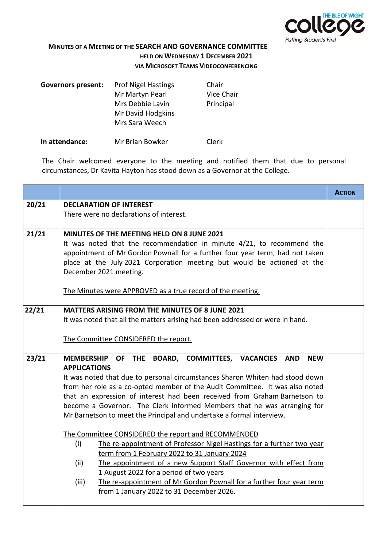

**MINUTES OF A MEETING OF THE SEARCH AND GOVERNANCE COMMITTEE HELD ON WEDNESDAY 1 DECEMBER 2021 VIA MICROSOFT TEAMS VIDEOCONFERENCING**

| <b>Governors present:</b> | <b>Prof Nigel Hastings</b> | Chair      |
|---------------------------|----------------------------|------------|
|                           | Mr Martyn Pearl            | Vice Chair |
|                           | Mrs Debbie Lavin           | Principal  |
|                           | Mr David Hodgkins          |            |
|                           | Mrs Sara Weech             |            |
|                           |                            |            |

**In attendance:** Mr Brian Bowker Clerk

The Chair welcomed everyone to the meeting and notified them that due to personal circumstances, Dr Kavita Hayton has stood down as a Governor at the College.

|       |                                                                                                                                                                                                                                                                                                                                                                                                                                                                                                      | <b>ACTION</b> |
|-------|------------------------------------------------------------------------------------------------------------------------------------------------------------------------------------------------------------------------------------------------------------------------------------------------------------------------------------------------------------------------------------------------------------------------------------------------------------------------------------------------------|---------------|
| 20/21 | <b>DECLARATION OF INTEREST</b>                                                                                                                                                                                                                                                                                                                                                                                                                                                                       |               |
|       | There were no declarations of interest.                                                                                                                                                                                                                                                                                                                                                                                                                                                              |               |
| 21/21 | MINUTES OF THE MEETING HELD ON 8 JUNE 2021<br>It was noted that the recommendation in minute 4/21, to recommend the<br>appointment of Mr Gordon Pownall for a further four year term, had not taken<br>place at the July 2021 Corporation meeting but would be actioned at the<br>December 2021 meeting.                                                                                                                                                                                             |               |
|       | The Minutes were APPROVED as a true record of the meeting.                                                                                                                                                                                                                                                                                                                                                                                                                                           |               |
| 22/21 | <b>MATTERS ARISING FROM THE MINUTES OF 8 JUNE 2021</b><br>It was noted that all the matters arising had been addressed or were in hand.<br>The Committee CONSIDERED the report.                                                                                                                                                                                                                                                                                                                      |               |
| 23/21 | <b>MEMBERSHIP</b><br>OF THE BOARD, COMMITTEES, VACANCIES<br>AND<br><b>NEW</b><br><b>APPLICATIONS</b><br>It was noted that due to personal circumstances Sharon Whiten had stood down<br>from her role as a co-opted member of the Audit Committee. It was also noted<br>that an expression of interest had been received from Graham Barnetson to<br>become a Governor. The Clerk informed Members that he was arranging for<br>Mr Barnetson to meet the Principal and undertake a formal interview. |               |
|       | The Committee CONSIDERED the report and RECOMMENDED<br>(i)<br>The re-appointment of Professor Nigel Hastings for a further two year<br>term from 1 February 2022 to 31 January 2024<br>(ii)<br>The appointment of a new Support Staff Governor with effect from<br>1 August 2022 for a period of two years<br>The re-appointment of Mr Gordon Pownall for a further four year term<br>(iii)<br>from 1 January 2022 to 31 December 2026.                                                              |               |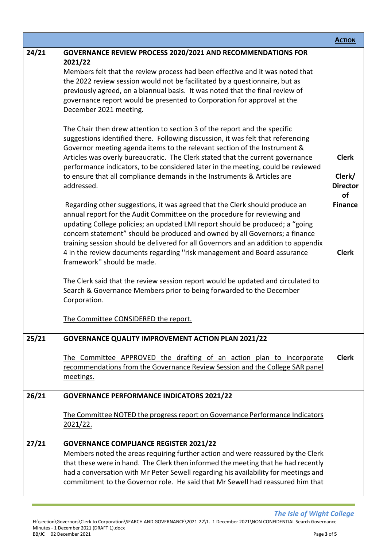|       |                                                                                                                                                                                                                                                                                                                                                                                                                                                                                                                                                                                                                                                                                                                                                                                                                                                                                                                                                                                                                                                                                                                                                                                                                                                                                                                                                                                                                                                                                                                                                                                                                                                                                                 | <b>ACTION</b>                                                                     |
|-------|-------------------------------------------------------------------------------------------------------------------------------------------------------------------------------------------------------------------------------------------------------------------------------------------------------------------------------------------------------------------------------------------------------------------------------------------------------------------------------------------------------------------------------------------------------------------------------------------------------------------------------------------------------------------------------------------------------------------------------------------------------------------------------------------------------------------------------------------------------------------------------------------------------------------------------------------------------------------------------------------------------------------------------------------------------------------------------------------------------------------------------------------------------------------------------------------------------------------------------------------------------------------------------------------------------------------------------------------------------------------------------------------------------------------------------------------------------------------------------------------------------------------------------------------------------------------------------------------------------------------------------------------------------------------------------------------------|-----------------------------------------------------------------------------------|
| 24/21 | <b>GOVERNANCE REVIEW PROCESS 2020/2021 AND RECOMMENDATIONS FOR</b><br>2021/22<br>Members felt that the review process had been effective and it was noted that<br>the 2022 review session would not be facilitated by a questionnaire, but as<br>previously agreed, on a biannual basis. It was noted that the final review of<br>governance report would be presented to Corporation for approval at the<br>December 2021 meeting.<br>The Chair then drew attention to section 3 of the report and the specific<br>suggestions identified there. Following discussion, it was felt that referencing<br>Governor meeting agenda items to the relevant section of the Instrument &<br>Articles was overly bureaucratic. The Clerk stated that the current governance<br>performance indicators, to be considered later in the meeting, could be reviewed<br>to ensure that all compliance demands in the Instruments & Articles are<br>addressed.<br>Regarding other suggestions, it was agreed that the Clerk should produce an<br>annual report for the Audit Committee on the procedure for reviewing and<br>updating College policies; an updated LMI report should be produced; a "going<br>concern statement" should be produced and owned by all Governors; a finance<br>training session should be delivered for all Governors and an addition to appendix<br>4 in the review documents regarding "risk management and Board assurance<br>framework" should be made.<br>The Clerk said that the review session report would be updated and circulated to<br>Search & Governance Members prior to being forwarded to the December<br>Corporation.<br>The Committee CONSIDERED the report. | <b>Clerk</b><br>Clerk/<br><b>Director</b><br>of<br><b>Finance</b><br><b>Clerk</b> |
| 25/21 | <b>GOVERNANCE QUALITY IMPROVEMENT ACTION PLAN 2021/22</b>                                                                                                                                                                                                                                                                                                                                                                                                                                                                                                                                                                                                                                                                                                                                                                                                                                                                                                                                                                                                                                                                                                                                                                                                                                                                                                                                                                                                                                                                                                                                                                                                                                       |                                                                                   |
|       | The Committee APPROVED the drafting of an action plan to incorporate<br>recommendations from the Governance Review Session and the College SAR panel<br>meetings.                                                                                                                                                                                                                                                                                                                                                                                                                                                                                                                                                                                                                                                                                                                                                                                                                                                                                                                                                                                                                                                                                                                                                                                                                                                                                                                                                                                                                                                                                                                               | <b>Clerk</b>                                                                      |
| 26/21 | <b>GOVERNANCE PERFORMANCE INDICATORS 2021/22</b>                                                                                                                                                                                                                                                                                                                                                                                                                                                                                                                                                                                                                                                                                                                                                                                                                                                                                                                                                                                                                                                                                                                                                                                                                                                                                                                                                                                                                                                                                                                                                                                                                                                |                                                                                   |
|       | The Committee NOTED the progress report on Governance Performance Indicators<br>2021/22.                                                                                                                                                                                                                                                                                                                                                                                                                                                                                                                                                                                                                                                                                                                                                                                                                                                                                                                                                                                                                                                                                                                                                                                                                                                                                                                                                                                                                                                                                                                                                                                                        |                                                                                   |
| 27/21 | <b>GOVERNANCE COMPLIANCE REGISTER 2021/22</b><br>Members noted the areas requiring further action and were reassured by the Clerk<br>that these were in hand. The Clerk then informed the meeting that he had recently<br>had a conversation with Mr Peter Sewell regarding his availability for meetings and<br>commitment to the Governor role. He said that Mr Sewell had reassured him that                                                                                                                                                                                                                                                                                                                                                                                                                                                                                                                                                                                                                                                                                                                                                                                                                                                                                                                                                                                                                                                                                                                                                                                                                                                                                                 |                                                                                   |

*The Isle of Wight College*